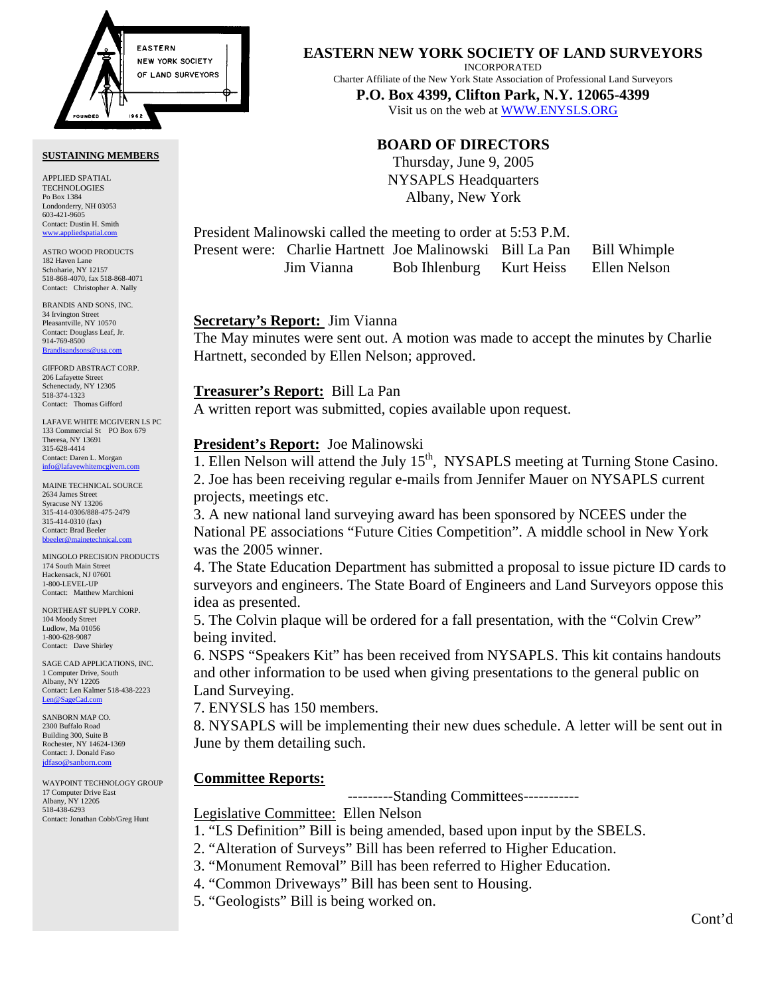

#### **SUSTAINING MEMBERS**

APPLIED SPATIAL TECHNOLOGIES Po Box 1384 Londonderry, NH 03053 603-421-9605 Contact: Dustin H. Smith <www.appliedspatial.com>

ASTRO WOOD PRODUCTS 182 Haven Lane Schoharie, NY 12157 518-868-4070, fax 518-868-4071 Contact: Christopher A. Nally

BRANDIS AND SONS, INC. 34 Irvington Street Pleasantville, NY 10570 Contact: Douglass Leaf, Jr. 914-769-8500 [Brandisandsons@usa.com](mailto:brandisandsons@usa.com)

GIFFORD ABSTRACT CORP. 206 Lafayette Street Schenectady, NY 12305 518-374-1323 Contact: Thomas Gifford

LAFAVE WHITE MCGIVERN LS PC 133 Commercial St PO Box 679 Theresa, NY 13691 315-628-4414 Contact: Daren L. Morgan [info@lafavewhitemcgivern.com](mailto:info@lafavewhitemcgivern.com)

MAINE TECHNICAL SOURCE 2634 James Street Syracuse NY 13206 315-414-0306/888-475-2479 315-414-0310 (fax) Contact: Brad Beeler [bbeeler@mainetechnical.com](mailto:bbeeler@mainetechnical.com)

MINGOLO PRECISION PRODUCTS 174 South Main Street Hackensack, NJ 07601 1-800-LEVEL-UP Contact: Matthew Marchioni

NORTHEAST SUPPLY CORP. 104 Moody Street Ludlow, Ma 01056 1-800-628-9087 Contact: Dave Shirley

SAGE CAD APPLICATIONS, INC. 1 Computer Drive, South Albany, NY 12205 Contact: Len Kalmer 518-438-2223 [Len@SageCad.com](mailto:len@sagecad.com)

SANBORN MAP CO. 2300 Buffalo Road Building 300, Suite B Rochester, NY 14624-1369 Contact: J. Donald Faso [jdfaso@sanborn.com](mailto:jdfaso@sanborn.com)

WAYPOINT TECHNOLOGY GROUP 17 Computer Drive East Albany, NY 12205 518-438-6293 Contact: Jonathan Cobb/Greg Hunt

# **EASTERN NEW YORK SOCIETY OF LAND SURVEYORS**

INCORPORATED

Charter Affiliate of the New York State Association of Professional Land Surveyors **P.O. Box 4399, Clifton Park, N.Y. 12065-4399** 

Visit us on the web a[t WWW.ENYSLS.ORG](www.enysls.org)

# **BOARD OF DIRECTORS**

Thursday, June 9, 2005 NYSAPLS Headquarters Albany, New York

President Malinowski called the meeting to order at 5:53 P.M. Present were: Charlie Hartnett Joe Malinowski Bill La Pan Bill Whimple Jim Vianna Bob Ihlenburg Kurt Heiss Ellen Nelson

### **Secretary's Report:** Jim Vianna

The May minutes were sent out. A motion was made to accept the minutes by Charlie Hartnett, seconded by Ellen Nelson; approved.

### **Treasurer's Report:** Bill La Pan

A written report was submitted, copies available upon request.

# **President's Report:** Joe Malinowski

1. Ellen Nelson will attend the July  $15<sup>th</sup>$ , NYSAPLS meeting at Turning Stone Casino. 2. Joe has been receiving regular e-mails from Jennifer Mauer on NYSAPLS current

projects, meetings etc.

3. A new national land surveying award has been sponsored by NCEES under the National PE associations "Future Cities Competition". A middle school in New York was the 2005 winner.

4. The State Education Department has submitted a proposal to issue picture ID cards to surveyors and engineers. The State Board of Engineers and Land Surveyors oppose this idea as presented.

5. The Colvin plaque will be ordered for a fall presentation, with the "Colvin Crew" being invited.

6. NSPS "Speakers Kit" has been received from NYSAPLS. This kit contains handouts and other information to be used when giving presentations to the general public on Land Surveying.

7. ENYSLS has 150 members.

8. NYSAPLS will be implementing their new dues schedule. A letter will be sent out in June by them detailing such.

# **Committee Reports:**

---------Standing Committees-----------

Legislative Committee: Ellen Nelson

- 1. "LS Definition" Bill is being amended, based upon input by the SBELS.
- 2. "Alteration of Surveys" Bill has been referred to Higher Education.
- 3. "Monument Removal" Bill has been referred to Higher Education.
- 4. "Common Driveways" Bill has been sent to Housing.
- 5. "Geologists" Bill is being worked on.